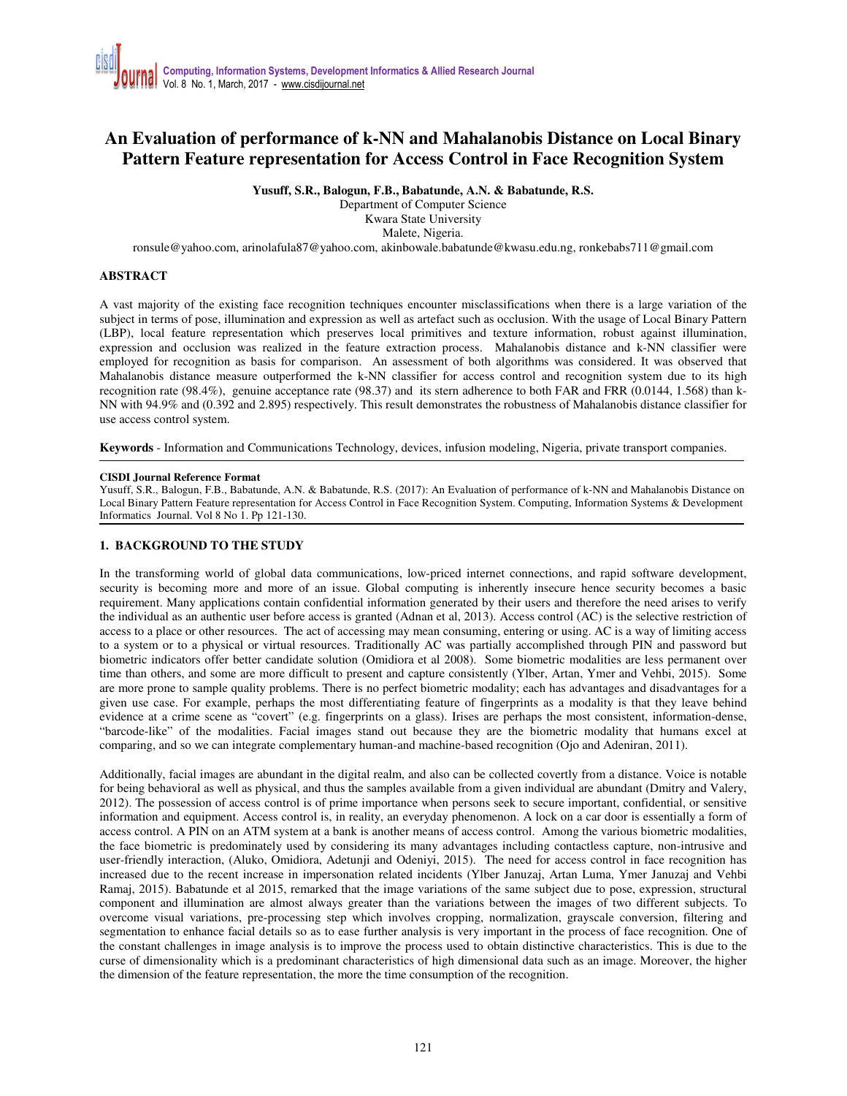# **An Evaluation of performance of k-NN and Mahalanobis Distance on Local Binary Pattern Feature representation for Access Control in Face Recognition System**

**Yusuff, S.R., Balogun, F.B., Babatunde, A.N. & Babatunde, R.S.** 

Department of Computer Science Kwara State University Malete, Nigeria.

ronsule@yahoo.com, arinolafula87@yahoo.com, akinbowale.babatunde@kwasu.edu.ng, ronkebabs711@gmail.com

## **ABSTRACT**

A vast majority of the existing face recognition techniques encounter misclassifications when there is a large variation of the subject in terms of pose, illumination and expression as well as artefact such as occlusion. With the usage of Local Binary Pattern (LBP), local feature representation which preserves local primitives and texture information, robust against illumination, expression and occlusion was realized in the feature extraction process. Mahalanobis distance and k-NN classifier were employed for recognition as basis for comparison. An assessment of both algorithms was considered. It was observed that Mahalanobis distance measure outperformed the k-NN classifier for access control and recognition system due to its high recognition rate (98.4%), genuine acceptance rate (98.37) and its stern adherence to both FAR and FRR (0.0144, 1.568) than k-NN with 94.9% and (0.392 and 2.895) respectively. This result demonstrates the robustness of Mahalanobis distance classifier for use access control system.

**Keywords** - Information and Communications Technology, devices, infusion modeling, Nigeria, private transport companies.

#### **CISDI Journal Reference Format**

Yusuff, S.R., Balogun, F.B., Babatunde, A.N. & Babatunde, R.S. (2017): An Evaluation of performance of k-NN and Mahalanobis Distance on Local Binary Pattern Feature representation for Access Control in Face Recognition System. Computing, Information Systems & Development Informatics Journal. Vol 8 No 1. Pp 121-130.

## **1. BACKGROUND TO THE STUDY**

In the transforming world of global data communications, low-priced internet connections, and rapid software development, security is becoming more and more of an issue. Global computing is inherently insecure hence security becomes a basic requirement. Many applications contain confidential information generated by their users and therefore the need arises to verify the individual as an authentic user before access is granted (Adnan et al, 2013). Access control (AC) is the selective restriction of access to a place or other resources. The act of accessing may mean consuming, entering or using. AC is a way of limiting access to a system or to a physical or virtual resources. Traditionally AC was partially accomplished through PIN and password but biometric indicators offer better candidate solution (Omidiora et al 2008). Some biometric modalities are less permanent over time than others, and some are more difficult to present and capture consistently (Ylber, Artan, Ymer and Vehbi, 2015). Some are more prone to sample quality problems. There is no perfect biometric modality; each has advantages and disadvantages for a given use case. For example, perhaps the most differentiating feature of fingerprints as a modality is that they leave behind evidence at a crime scene as "covert" (e.g. fingerprints on a glass). Irises are perhaps the most consistent, information-dense, "barcode-like" of the modalities. Facial images stand out because they are the biometric modality that humans excel at comparing, and so we can integrate complementary human-and machine-based recognition (Ojo and Adeniran, 2011).

Additionally, facial images are abundant in the digital realm, and also can be collected covertly from a distance. Voice is notable for being behavioral as well as physical, and thus the samples available from a given individual are abundant (Dmitry and Valery, 2012). The possession of access control is of prime importance when persons seek to secure important, confidential, or sensitive information and equipment. Access control is, in reality, an everyday phenomenon. A lock on a car door is essentially a form of access control. A PIN on an ATM system at a bank is another means of access control. Among the various biometric modalities, the face biometric is predominately used by considering its many advantages including contactless capture, non-intrusive and user-friendly interaction, (Aluko, Omidiora, Adetunji and Odeniyi, 2015). The need for access control in face recognition has increased due to the recent increase in impersonation related incidents (Ylber Januzaj, Artan Luma, Ymer Januzaj and Vehbi Ramaj, 2015). Babatunde et al 2015, remarked that the image variations of the same subject due to pose, expression, structural component and illumination are almost always greater than the variations between the images of two different subjects. To overcome visual variations, pre-processing step which involves cropping, normalization, grayscale conversion, filtering and segmentation to enhance facial details so as to ease further analysis is very important in the process of face recognition. One of the constant challenges in image analysis is to improve the process used to obtain distinctive characteristics. This is due to the curse of dimensionality which is a predominant characteristics of high dimensional data such as an image. Moreover, the higher the dimension of the feature representation, the more the time consumption of the recognition.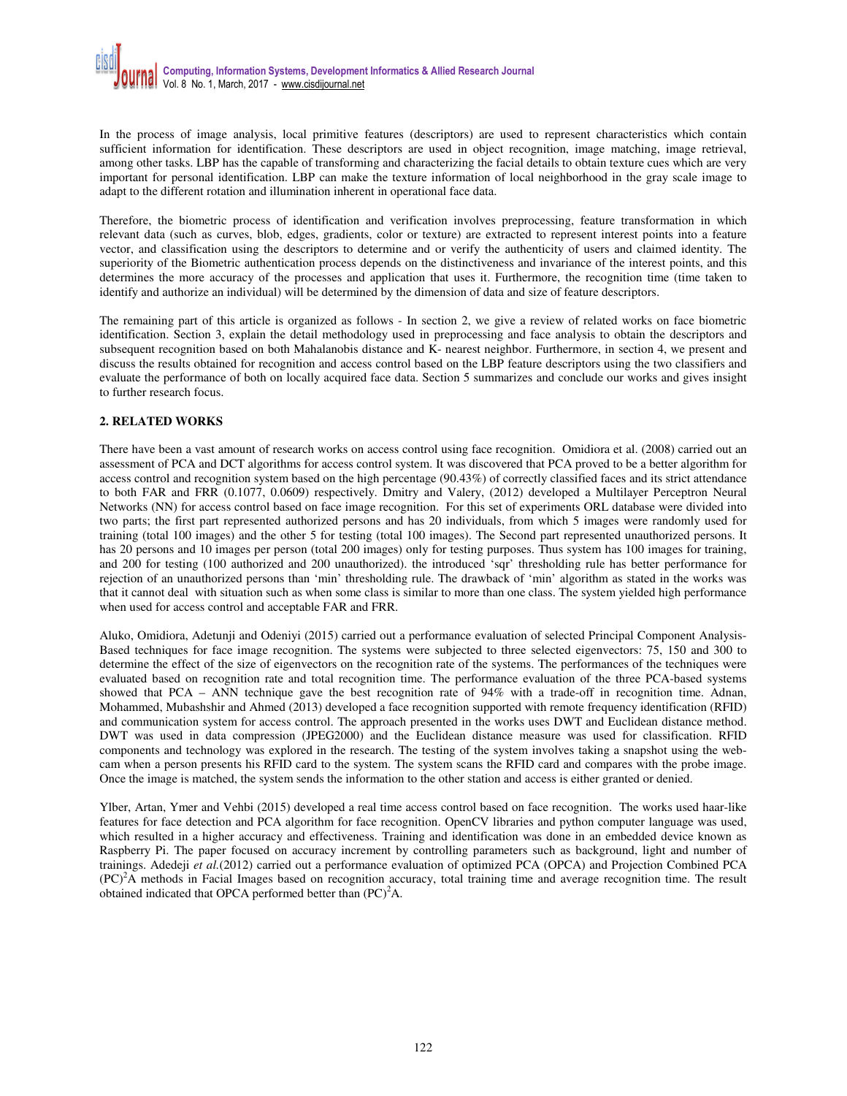In the process of image analysis, local primitive features (descriptors) are used to represent characteristics which contain sufficient information for identification. These descriptors are used in object recognition, image matching, image retrieval, among other tasks. LBP has the capable of transforming and characterizing the facial details to obtain texture cues which are very important for personal identification. LBP can make the texture information of local neighborhood in the gray scale image to adapt to the different rotation and illumination inherent in operational face data.

Therefore, the biometric process of identification and verification involves preprocessing, feature transformation in which relevant data (such as curves, blob, edges, gradients, color or texture) are extracted to represent interest points into a feature vector, and classification using the descriptors to determine and or verify the authenticity of users and claimed identity. The superiority of the Biometric authentication process depends on the distinctiveness and invariance of the interest points, and this determines the more accuracy of the processes and application that uses it. Furthermore, the recognition time (time taken to identify and authorize an individual) will be determined by the dimension of data and size of feature descriptors.

The remaining part of this article is organized as follows - In section 2, we give a review of related works on face biometric identification. Section 3, explain the detail methodology used in preprocessing and face analysis to obtain the descriptors and subsequent recognition based on both Mahalanobis distance and K- nearest neighbor. Furthermore, in section 4, we present and discuss the results obtained for recognition and access control based on the LBP feature descriptors using the two classifiers and evaluate the performance of both on locally acquired face data. Section 5 summarizes and conclude our works and gives insight to further research focus.

## **2. RELATED WORKS**

There have been a vast amount of research works on access control using face recognition. Omidiora et al. (2008) carried out an assessment of PCA and DCT algorithms for access control system. It was discovered that PCA proved to be a better algorithm for access control and recognition system based on the high percentage (90.43%) of correctly classified faces and its strict attendance to both FAR and FRR (0.1077, 0.0609) respectively. Dmitry and Valery, (2012) developed a Multilayer Perceptron Neural Networks (NN) for access control based on face image recognition. For this set of experiments ORL database were divided into two parts; the first part represented authorized persons and has 20 individuals, from which 5 images were randomly used for training (total 100 images) and the other 5 for testing (total 100 images). The Second part represented unauthorized persons. It has 20 persons and 10 images per person (total 200 images) only for testing purposes. Thus system has 100 images for training, and 200 for testing (100 authorized and 200 unauthorized). the introduced 'sqr' thresholding rule has better performance for rejection of an unauthorized persons than 'min' thresholding rule. The drawback of 'min' algorithm as stated in the works was that it cannot deal with situation such as when some class is similar to more than one class. The system yielded high performance when used for access control and acceptable FAR and FRR.

Aluko, Omidiora, Adetunji and Odeniyi (2015) carried out a performance evaluation of selected Principal Component Analysis-Based techniques for face image recognition. The systems were subjected to three selected eigenvectors: 75, 150 and 300 to determine the effect of the size of eigenvectors on the recognition rate of the systems. The performances of the techniques were evaluated based on recognition rate and total recognition time. The performance evaluation of the three PCA-based systems showed that PCA – ANN technique gave the best recognition rate of 94% with a trade-off in recognition time. Adnan, Mohammed, Mubashshir and Ahmed (2013) developed a face recognition supported with remote frequency identification (RFID) and communication system for access control. The approach presented in the works uses DWT and Euclidean distance method. DWT was used in data compression (JPEG2000) and the Euclidean distance measure was used for classification. RFID components and technology was explored in the research. The testing of the system involves taking a snapshot using the webcam when a person presents his RFID card to the system. The system scans the RFID card and compares with the probe image. Once the image is matched, the system sends the information to the other station and access is either granted or denied.

Ylber, Artan, Ymer and Vehbi (2015) developed a real time access control based on face recognition. The works used haar-like features for face detection and PCA algorithm for face recognition. OpenCV libraries and python computer language was used, which resulted in a higher accuracy and effectiveness. Training and identification was done in an embedded device known as Raspberry Pi. The paper focused on accuracy increment by controlling parameters such as background, light and number of trainings. Adedeji *et al.*(2012) carried out a performance evaluation of optimized PCA (OPCA) and Projection Combined PCA  $(PC)^2$ A methods in Facial Images based on recognition accuracy, total training time and average recognition time. The result obtained indicated that OPCA performed better than  $(PC)^2$ A.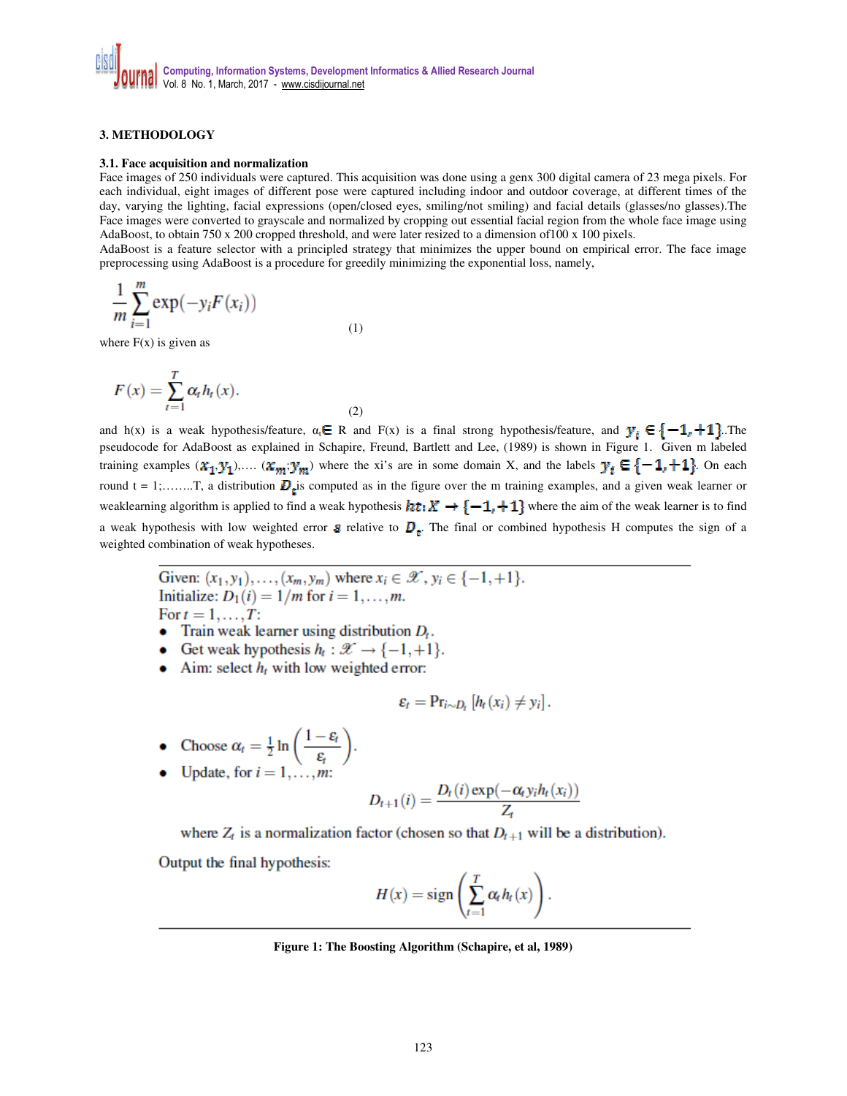## **3. METHODOLOGY**

#### **3.1. Face acquisition and normalization**

Face images of 250 individuals were captured. This acquisition was done using a genx 300 digital camera of 23 mega pixels. For each individual, eight images of different pose were captured including indoor and outdoor coverage, at different times of the day, varying the lighting, facial expressions (open/closed eyes, smiling/not smiling) and facial details (glasses/no glasses).The Face images were converted to grayscale and normalized by cropping out essential facial region from the whole face image using AdaBoost, to obtain 750 x 200 cropped threshold, and were later resized to a dimension of100 x 100 pixels.

AdaBoost is a feature selector with a principled strategy that minimizes the upper bound on empirical error. The face image preprocessing using AdaBoost is a procedure for greedily minimizing the exponential loss, namely,

$$
\frac{1}{m}\sum_{i=1}^{m}\exp(-y_iF(x_i))
$$
\n(1)

where  $F(x)$  is given as

$$
F(x) = \sum_{t=1}^{T} \alpha_t h_t(x).
$$

and h(x) is a weak hypothesis/feature,  $\alpha_i \in R$  and  $F(x)$  is a final strong hypothesis/feature, and  $y_i \in \{-1, +1\}$ . The pseudocode for AdaBoost as explained in Schapire, Freund, Bartlett and Lee, (1989) is shown in Figure 1. Given m labeled training examples  $(x_1, y_1), \ldots, (x_m, y_m)$  where the xi's are in some domain X, and the labels  $y_i \in \{-1, +1\}$ . On each round t = 1;……..T, a distribution is computed as in the figure over the m training examples, and a given weak learner or weaklearning algorithm is applied to find a weak hypothesis  $ht: X \to \{-1, +1\}$  where the aim of the weak learner is to find a weak hypothesis with low weighted error  $\varepsilon$  relative to  $\mathbf{D}_{\varepsilon}$ . The final or combined hypothesis H computes the sign of a weighted combination of weak hypotheses.

Given:  $(x_1, y_1), ..., (x_m, y_m)$  where  $x_i \in \mathcal{X}$ ,  $y_i \in \{-1, +1\}$ . Initialize:  $D_1(i) = 1/m$  for  $i = 1, ..., m$ . For  $t = 1, \ldots, T$ :

(2)

- Train weak learner using distribution  $D_t$ .
- Get weak hypothesis  $h_t : \mathcal{X} \to \{-1, +1\}.$
- Aim: select  $h_t$  with low weighted error:

$$
\varepsilon_t = \Pr_{i \sim D_t} [h_t(x_i) \neq y_i].
$$

- Choose  $\alpha_t = \frac{1}{2} \ln \left( \frac{1 \varepsilon_t}{\varepsilon_t} \right)$ .<br>• Update, for  $i = 1, ..., m$ :
- 

$$
D_{t+1}(i) = \frac{D_t(i) \exp(-\alpha_t y_i h_t(x_i))}{Z_t}
$$

where  $Z_t$  is a normalization factor (chosen so that  $D_{t+1}$  will be a distribution).

Output the final hypothesis:

$$
H(x) = sign\left(\sum_{t=1}^T \alpha_t h_t(x)\right).
$$

**Figure 1: The Boosting Algorithm (Schapire, et al, 1989)**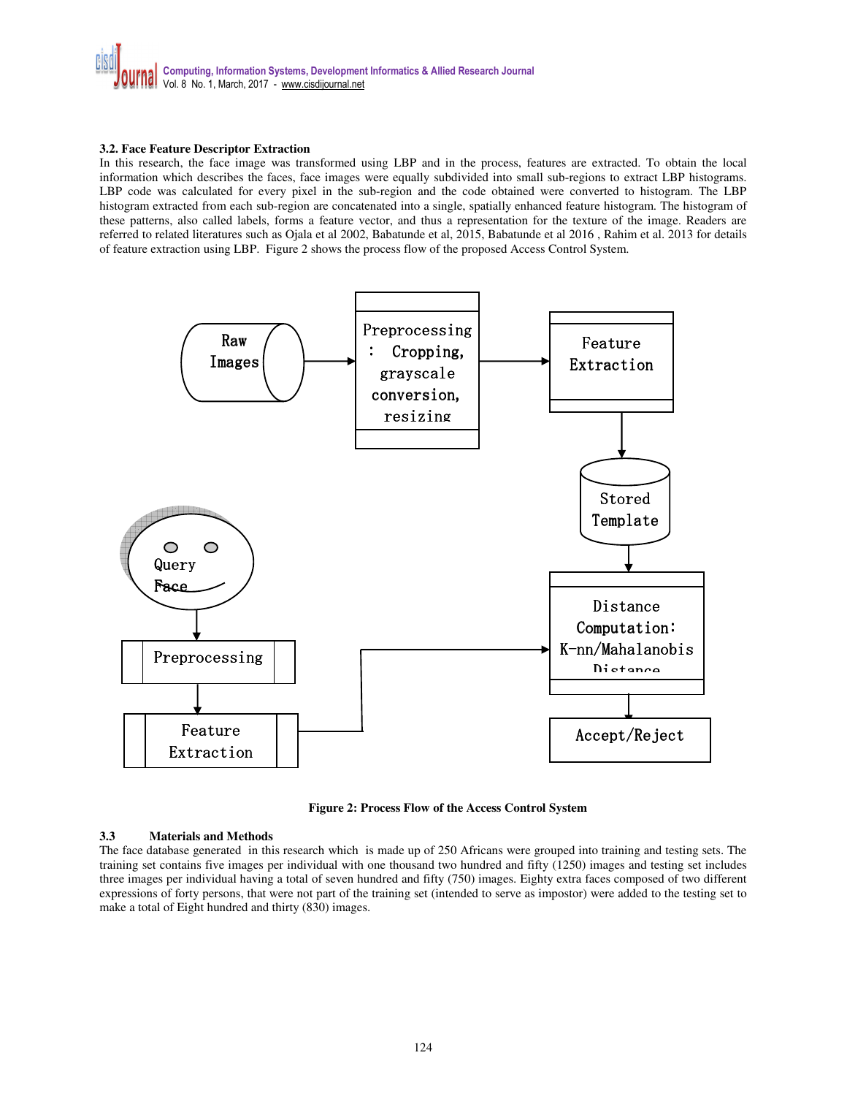

#### **3.2. Face Feature Descriptor Extraction**

In this research, the face image was transformed using LBP and in the process, features are extracted. To obtain the local information which describes the faces, face images were equally subdivided into small sub-regions to extract LBP histograms. LBP code was calculated for every pixel in the sub-region and the code obtained were converted to histogram. The LBP histogram extracted from each sub-region are concatenated into a single, spatially enhanced feature histogram. The histogram of these patterns, also called labels, forms a feature vector, and thus a representation for the texture of the image. Readers are referred to related literatures such as Ojala et al 2002, Babatunde et al, 2015, Babatunde et al 2016 , Rahim et al. 2013 for details of feature extraction using LBP. Figure 2 shows the process flow of the proposed Access Control System.





#### **3.3 Materials and Methods**

The face database generated in this research which is made up of 250 Africans were grouped into training and testing sets. The training set contains five images per individual with one thousand two hundred and fifty (1250) images and testing set includes three images per individual having a total of seven hundred and fifty (750) images. Eighty extra faces composed of two different expressions of forty persons, that were not part of the training set (intended to serve as impostor) were added to the testing set to make a total of Eight hundred and thirty (830) images.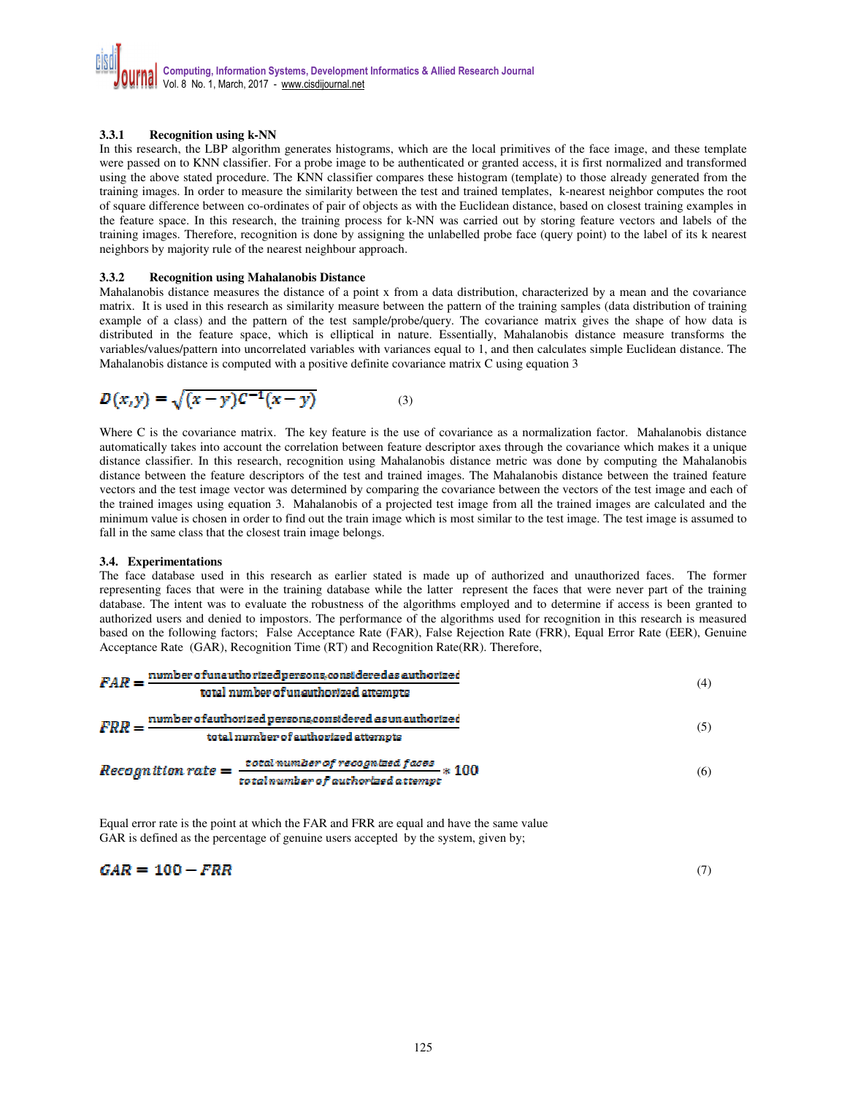## **3.3.1 Recognition using k-NN**

In this research, the LBP algorithm generates histograms, which are the local primitives of the face image, and these template were passed on to KNN classifier. For a probe image to be authenticated or granted access, it is first normalized and transformed using the above stated procedure. The KNN classifier compares these histogram (template) to those already generated from the training images. In order to measure the similarity between the test and trained templates, k-nearest neighbor computes the root of square difference between co-ordinates of pair of objects as with the Euclidean distance, based on closest training examples in the feature space. In this research, the training process for k-NN was carried out by storing feature vectors and labels of the training images. Therefore, recognition is done by assigning the unlabelled probe face (query point) to the label of its k nearest neighbors by majority rule of the nearest neighbour approach.

#### **3.3.2 Recognition using Mahalanobis Distance**

Mahalanobis distance measures the distance of a point x from a data distribution, characterized by a mean and the covariance matrix. It is used in this research as similarity measure between the pattern of the training samples (data distribution of training example of a class) and the pattern of the test sample/probe/query. The covariance matrix gives the shape of how data is distributed in the feature space, which is elliptical in nature. Essentially, Mahalanobis distance measure transforms the variables/values/pattern into uncorrelated variables with variances equal to 1, and then calculates simple Euclidean distance. The Mahalanobis distance is computed with a positive definite covariance matrix C using equation 3

$$
D(x,y) = \sqrt{(x-y)C^{-1}(x-y)}
$$
 (3)

Where C is the covariance matrix. The key feature is the use of covariance as a normalization factor. Mahalanobis distance automatically takes into account the correlation between feature descriptor axes through the covariance which makes it a unique distance classifier. In this research, recognition using Mahalanobis distance metric was done by computing the Mahalanobis distance between the feature descriptors of the test and trained images. The Mahalanobis distance between the trained feature vectors and the test image vector was determined by comparing the covariance between the vectors of the test image and each of the trained images using equation 3. Mahalanobis of a projected test image from all the trained images are calculated and the minimum value is chosen in order to find out the train image which is most similar to the test image. The test image is assumed to fall in the same class that the closest train image belongs.

## **3.4. Experimentations**

The face database used in this research as earlier stated is made up of authorized and unauthorized faces. The former representing faces that were in the training database while the latter represent the faces that were never part of the training database. The intent was to evaluate the robustness of the algorithms employed and to determine if access is been granted to authorized users and denied to impostors. The performance of the algorithms used for recognition in this research is measured based on the following factors; False Acceptance Rate (FAR), False Rejection Rate (FRR), Equal Error Rate (EER), Genuine Acceptance Rate (GAR), Recognition Time (RT) and Recognition Rate(RR). Therefore,

$$
FAR = \frac{\text{number of unauthorized persons, considered as authorized}}{\text{total number of unauthorized attempts}}
$$
(4)  

$$
FRR = \frac{\text{number of authorized persons, considered as unauthorized}}{\text{total number of authorized attempts}}
$$
(5)  

$$
Reognition rate = \frac{\text{total number of recognized faces}}{\text{total number of available of the number of available}} \times 100
$$
(6)

Equal error rate is the point at which the FAR and FRR are equal and have the same value GAR is defined as the percentage of genuine users accepted by the system, given by;

$$
GAR = 100 - FRR \tag{7}
$$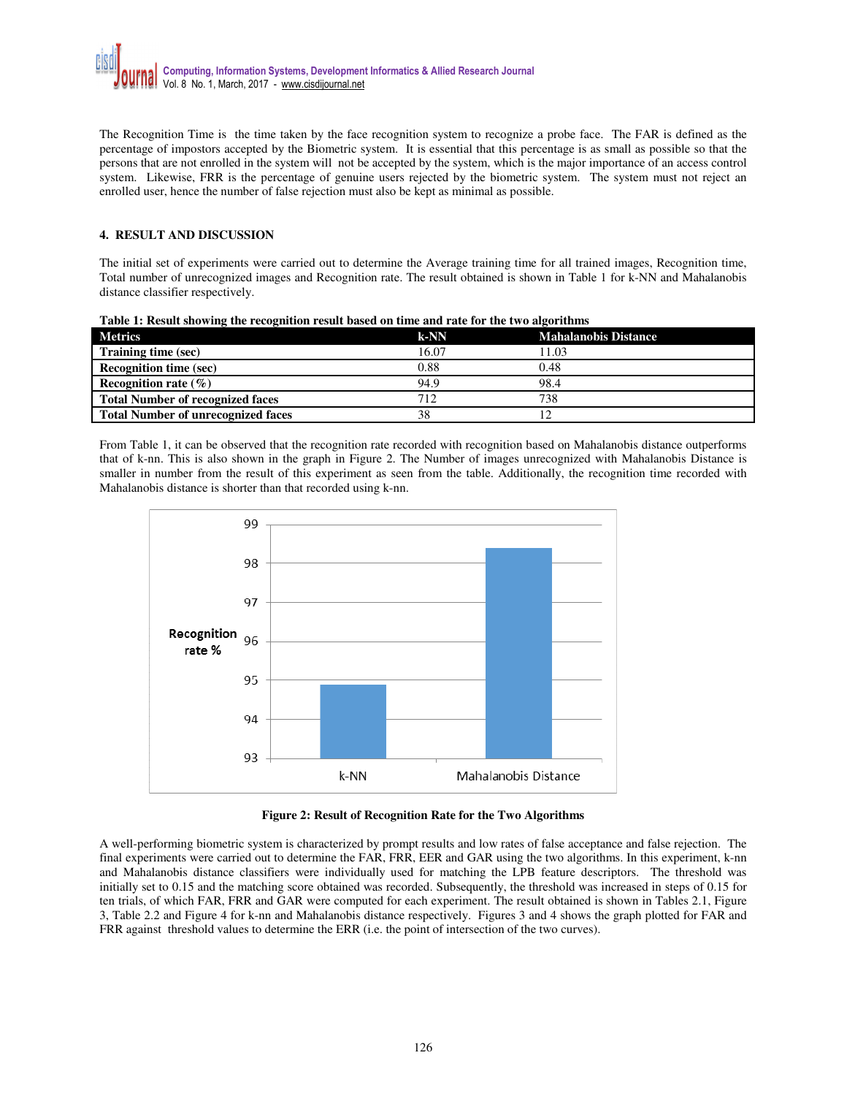The Recognition Time is the time taken by the face recognition system to recognize a probe face. The FAR is defined as the percentage of impostors accepted by the Biometric system. It is essential that this percentage is as small as possible so that the persons that are not enrolled in the system will not be accepted by the system, which is the major importance of an access control system. Likewise, FRR is the percentage of genuine users rejected by the biometric system. The system must not reject an enrolled user, hence the number of false rejection must also be kept as minimal as possible.

## **4. RESULT AND DISCUSSION**

The initial set of experiments were carried out to determine the Average training time for all trained images, Recognition time, Total number of unrecognized images and Recognition rate. The result obtained is shown in Table 1 for k-NN and Mahalanobis distance classifier respectively.

| <b>Metrics</b>                            | $k-NN$ | <b>Mahalanobis Distance</b> |
|-------------------------------------------|--------|-----------------------------|
| Training time (sec)                       | 16.07  | 11.03                       |
| <b>Recognition time (sec)</b>             | 0.88   | 0.48                        |
| Recognition rate $(\% )$                  | 94.9   | 98.4                        |
| <b>Total Number of recognized faces</b>   | 712    | 738                         |
| <b>Total Number of unrecognized faces</b> | 38     |                             |

|  |  |  | Table 1: Result showing the recognition result based on time and rate for the two algorithms |
|--|--|--|----------------------------------------------------------------------------------------------|
|--|--|--|----------------------------------------------------------------------------------------------|

From Table 1, it can be observed that the recognition rate recorded with recognition based on Mahalanobis distance outperforms that of k-nn. This is also shown in the graph in Figure 2. The Number of images unrecognized with Mahalanobis Distance is smaller in number from the result of this experiment as seen from the table. Additionally, the recognition time recorded with Mahalanobis distance is shorter than that recorded using k-nn.



**Figure 2: Result of Recognition Rate for the Two Algorithms** 

A well-performing biometric system is characterized by prompt results and low rates of false acceptance and false rejection. The final experiments were carried out to determine the FAR, FRR, EER and GAR using the two algorithms. In this experiment, k-nn and Mahalanobis distance classifiers were individually used for matching the LPB feature descriptors. The threshold was initially set to 0.15 and the matching score obtained was recorded. Subsequently, the threshold was increased in steps of 0.15 for ten trials, of which FAR, FRR and GAR were computed for each experiment. The result obtained is shown in Tables 2.1, Figure 3, Table 2.2 and Figure 4 for k-nn and Mahalanobis distance respectively. Figures 3 and 4 shows the graph plotted for FAR and FRR against threshold values to determine the ERR (i.e. the point of intersection of the two curves).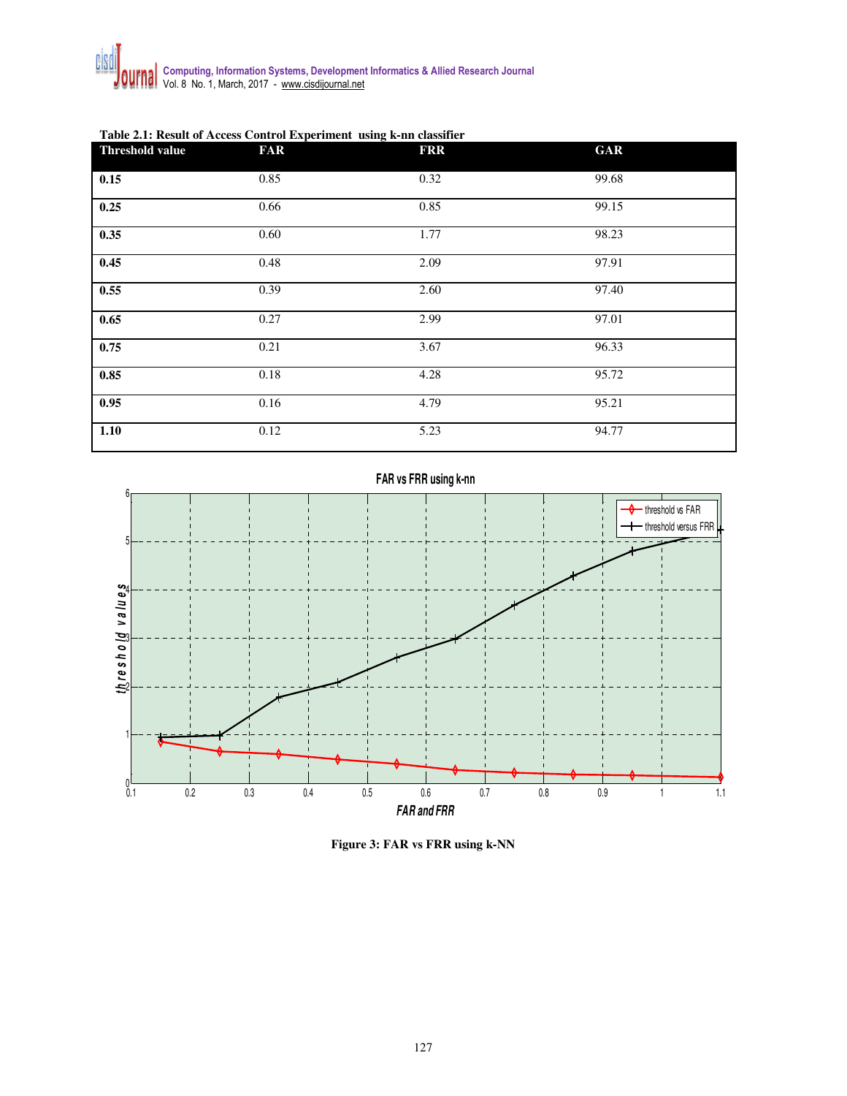| <b>Threshold value</b> | <b>FAR</b> | <b>FRR</b> | <b>GAR</b> |
|------------------------|------------|------------|------------|
| 0.15                   | 0.85       | 0.32       | 99.68      |
| 0.25                   | 0.66       | 0.85       | 99.15      |
| 0.35                   | 0.60       | 1.77       | 98.23      |
| 0.45                   | 0.48       | 2.09       | 97.91      |
| 0.55                   | 0.39       | 2.60       | 97.40      |
| 0.65                   | 0.27       | 2.99       | 97.01      |
| 0.75                   | 0.21       | 3.67       | 96.33      |
| 0.85                   | 0.18       | 4.28       | 95.72      |
| 0.95                   | 0.16       | 4.79       | 95.21      |
| 1.10                   | 0.12       | 5.23       | 94.77      |

## **Table 2.1: Result of Access Control Experiment using k-nn classifier**

 $0.1$ 

1

2

3

 $\frac{1}{2}$ **b**  $\frac{1}{2}$ **b**  $\frac{1}{2}$ **b**  $\frac{1}{2}$ **b**  $\frac{1}{2}$ **b**  $\frac{1}{2}$ **b**  $\frac{1}{2}$ **b**  $\frac{1}{2}$ 

4

5

6



**FAR vs FRR using k-nn**



**Figure 3: FAR vs FRR using k-NN**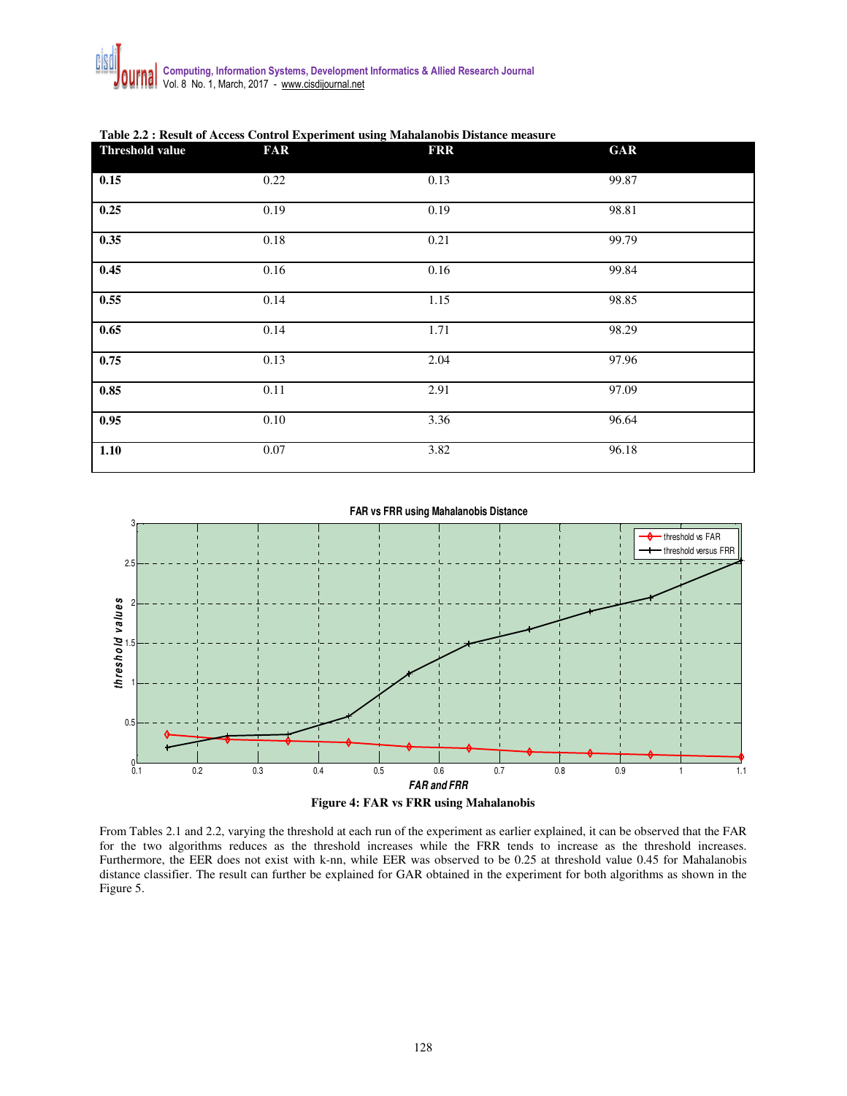| Threshold value | <b>FAR</b> | <b>FRR</b> | <b>GAR</b> |
|-----------------|------------|------------|------------|
| 0.15            | 0.22       | 0.13       | 99.87      |
| 0.25            | 0.19       | 0.19       | 98.81      |
| 0.35            | 0.18       | 0.21       | 99.79      |
| 0.45            | 0.16       | 0.16       | 99.84      |
| 0.55            | 0.14       | 1.15       | 98.85      |
| 0.65            | 0.14       | 1.71       | 98.29      |
| 0.75            | 0.13       | 2.04       | 97.96      |
| 0.85            | 0.11       | 2.91       | 97.09      |
| 0.95            | $0.10\,$   | 3.36       | 96.64      |
| 1.10            | 0.07       | 3.82       | 96.18      |

**Table 2.2 : Result of Access Control Experiment using Mahalanobis Distance measure** 

**FAR vs FRR using Mahalanobis Distance**





From Tables 2.1 and 2.2, varying the threshold at each run of the experiment as earlier explained, it can be observed that the FAR for the two algorithms reduces as the threshold increases while the FRR tends to increase as the threshold increases. Furthermore, the EER does not exist with k-nn, while EER was observed to be 0.25 at threshold value 0.45 for Mahalanobis distance classifier. The result can further be explained for GAR obtained in the experiment for both algorithms as shown in the Figure 5.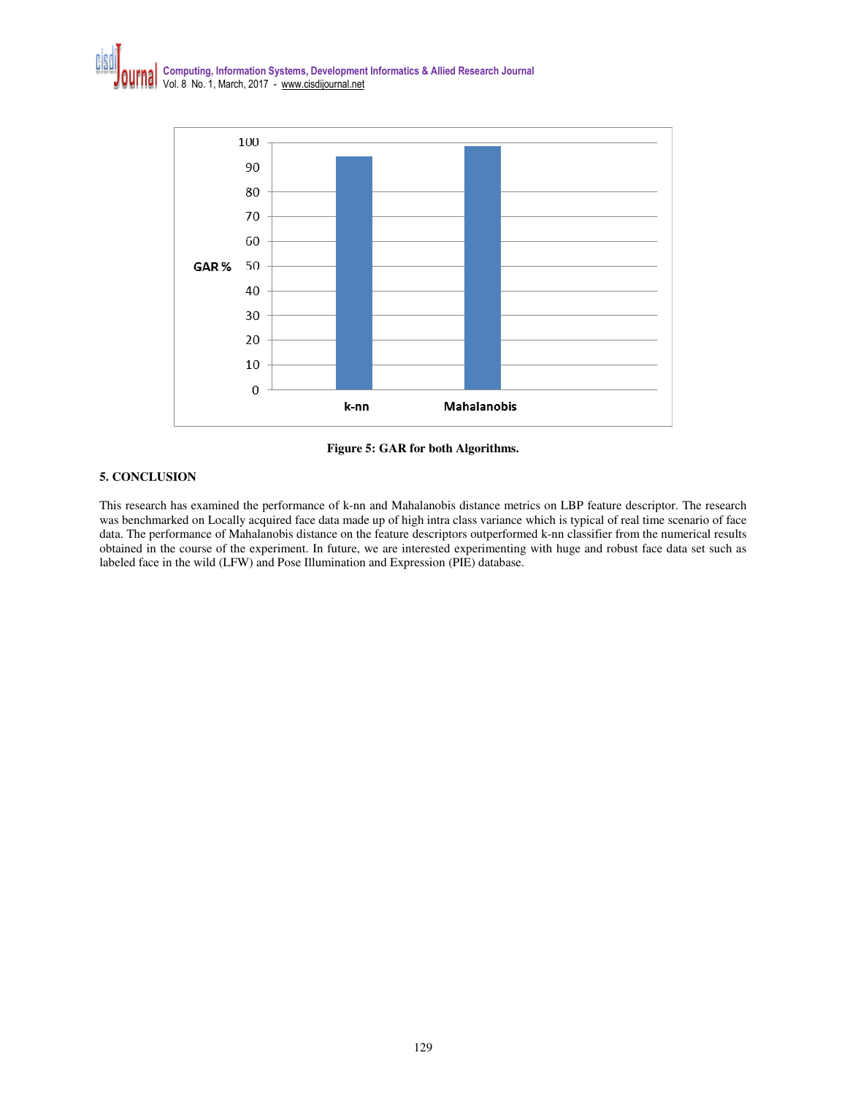

**Figure 5: GAR for both Algorithms.** 

## **5. CONCLUSION**

This research has examined the performance of k-nn and Mahalanobis distance metrics on LBP feature descriptor. The research was benchmarked on Locally acquired face data made up of high intra class variance which is typical of real time scenario of face data. The performance of Mahalanobis distance on the feature descriptors outperformed k-nn classifier from the numerical results obtained in the course of the experiment. In future, we are interested experimenting with huge and robust face data set such as labeled face in the wild (LFW) and Pose Illumination and Expression (PIE) database.